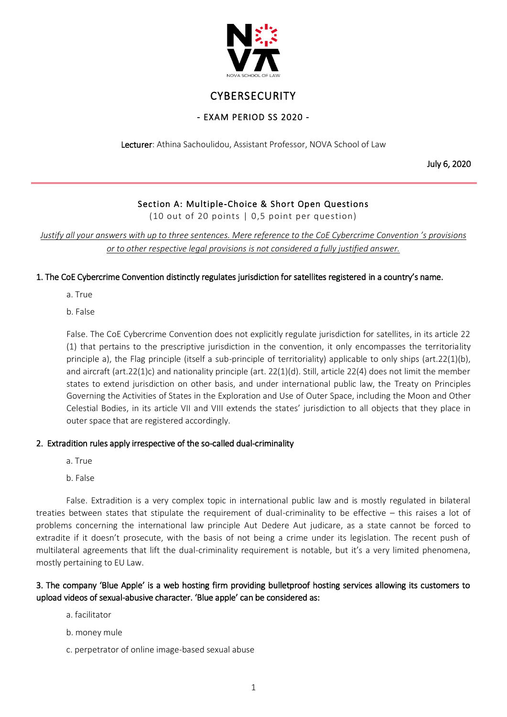

# **CYBERSECURITY**

### - EXAM PERIOD SS 2020 -

Lecturer: Athina Sachoulidou, Assistant Professor, NOVA School of Law

July 6, 2020

# Section A: Multiple-Choice & Short Open Questions

(10 out of 20 points | 0,5 point per question)

*Justify all your answers with up to three sentences. Mere reference to the CoE Cybercrime Convention 's provisions or to other respective legal provisions is not considered a fully justified answer.*

#### 1. The CoE Cybercrime Convention distinctly regulates jurisdiction for satellites registered in a country's name.

a. True

b. False

False. The CoE Cybercrime Convention does not explicitly regulate jurisdiction for satellites, in its article 22 (1) that pertains to the prescriptive jurisdiction in the convention, it only encompasses the territoriality principle a), the Flag principle (itself a sub-principle of territoriality) applicable to only ships (art.22(1)(b), and aircraft (art.22(1)c) and nationality principle (art. 22(1)(d). Still, article 22(4) does not limit the member states to extend jurisdiction on other basis, and under international public law, the Treaty on Principles Governing the Activities of States in the Exploration and Use of Outer Space, including the Moon and Other Celestial Bodies, in its article VII and VIII extends the states' jurisdiction to all objects that they place in outer space that are registered accordingly.

#### 2. Extradition rules apply irrespective of the so-called dual-criminality

- a. True
- b. False

False. Extradition is a very complex topic in international public law and is mostly regulated in bilateral treaties between states that stipulate the requirement of dual-criminality to be effective – this raises a lot of problems concerning the international law principle Aut Dedere Aut judicare, as a state cannot be forced to extradite if it doesn't prosecute, with the basis of not being a crime under its legislation. The recent push of multilateral agreements that lift the dual-criminality requirement is notable, but it's a very limited phenomena, mostly pertaining to EU Law.

### 3. The company 'Blue Apple' is a web hosting firm providing bulletproof hosting services allowing its customers to upload videos of sexual-abusive character. 'Blue apple' can be considered as:

- a. facilitator
- b. money mule
- c. perpetrator of online image-based sexual abuse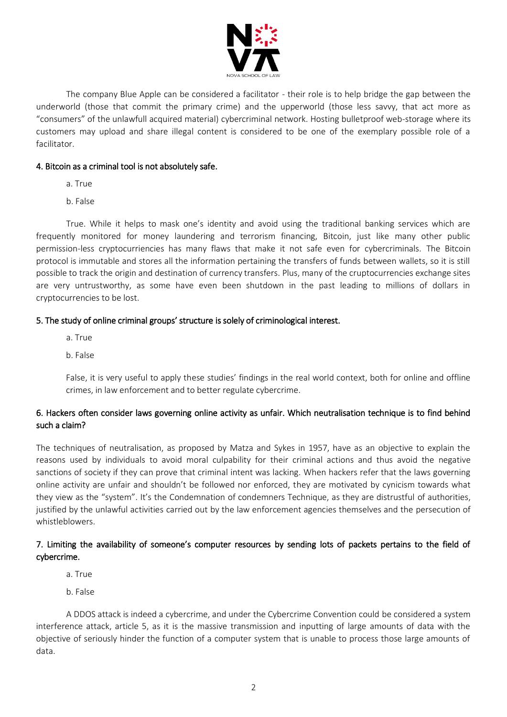

The company Blue Apple can be considered a facilitator - their role is to help bridge the gap between the underworld (those that commit the primary crime) and the upperworld (those less savvy, that act more as "consumers" of the unlawfull acquired material) cybercriminal network. Hosting bulletproof web-storage where its customers may upload and share illegal content is considered to be one of the exemplary possible role of a facilitator.

### 4. Bitcoin as a criminal tool is not absolutely safe.

- a. True
- b. False

True. While it helps to mask one's identity and avoid using the traditional banking services which are frequently monitored for money laundering and terrorism financing, Bitcoin, just like many other public permission-less cryptocurriencies has many flaws that make it not safe even for cybercriminals. The Bitcoin protocol is immutable and stores all the information pertaining the transfers of funds between wallets, so it is still possible to track the origin and destination of currency transfers. Plus, many of the cruptocurrencies exchange sites are very untrustworthy, as some have even been shutdown in the past leading to millions of dollars in cryptocurrencies to be lost.

### 5. The study of online criminal groups' structure is solely of criminological interest.

- a. True
- b. False

False, it is very useful to apply these studies' findings in the real world context, both for online and offline crimes, in law enforcement and to better regulate cybercrime.

# 6. Hackers often consider laws governing online activity as unfair. Which neutralisation technique is to find behind such a claim?

The techniques of neutralisation, as proposed by Matza and Sykes in 1957, have as an objective to explain the reasons used by individuals to avoid moral culpability for their criminal actions and thus avoid the negative sanctions of society if they can prove that criminal intent was lacking. When hackers refer that the laws governing online activity are unfair and shouldn't be followed nor enforced, they are motivated by cynicism towards what they view as the "system". It's the Condemnation of condemners Technique, as they are distrustful of authorities, justified by the unlawful activities carried out by the law enforcement agencies themselves and the persecution of whistleblowers.

# 7. Limiting the availability of someone's computer resources by sending lots of packets pertains to the field of cybercrime.

- a. True
- b. False

A DDOS attack is indeed a cybercrime, and under the Cybercrime Convention could be considered a system interference attack, article 5, as it is the massive transmission and inputting of large amounts of data with the objective of seriously hinder the function of a computer system that is unable to process those large amounts of data.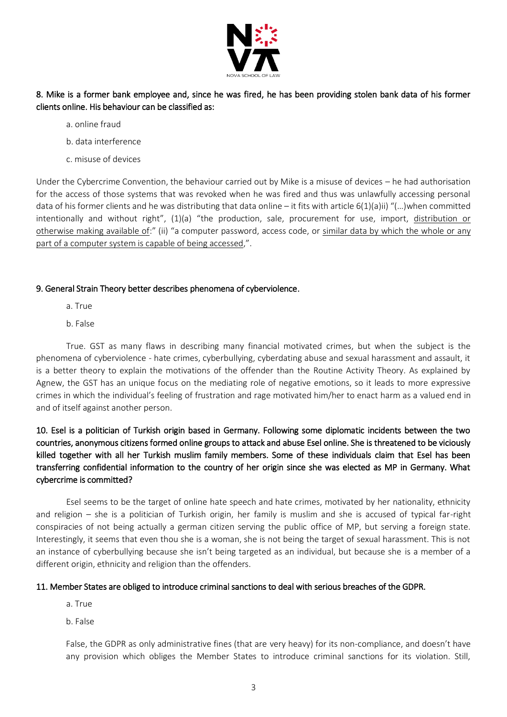

# 8. Mike is a former bank employee and, since he was fired, he has been providing stolen bank data of his former clients online. His behaviour can be classified as:

- a. online fraud
- b. data interference
- c. misuse of devices

Under the Cybercrime Convention, the behaviour carried out by Mike is a misuse of devices – he had authorisation for the access of those systems that was revoked when he was fired and thus was unlawfully accessing personal data of his former clients and he was distributing that data online – it fits with article 6(1)(a)ii) "(...)when committed intentionally and without right", (1)(a) "the production, sale, procurement for use, import, distribution or otherwise making available of:" (ii) "a computer password, access code, or similar data by which the whole or any part of a computer system is capable of being accessed,".

#### 9. General Strain Theory better describes phenomena of cyberviolence.

- a. True
- b. False

True. GST as many flaws in describing many financial motivated crimes, but when the subject is the phenomena of cyberviolence - hate crimes, cyberbullying, cyberdating abuse and sexual harassment and assault, it is a better theory to explain the motivations of the offender than the Routine Activity Theory. As explained by Agnew, the GST has an unique focus on the mediating role of negative emotions, so it leads to more expressive crimes in which the individual's feeling of frustration and rage motivated him/her to enact harm as a valued end in and of itself against another person.

# 10. Esel is a politician of Turkish origin based in Germany. Following some diplomatic incidents between the two countries, anonymous citizens formed online groups to attack and abuse Esel online. She is threatened to be viciously killed together with all her Turkish muslim family members. Some of these individuals claim that Esel has been transferring confidential information to the country of her origin since she was elected as MP in Germany. What cybercrime is committed?

Esel seems to be the target of online hate speech and hate crimes, motivated by her nationality, ethnicity and religion – she is a politician of Turkish origin, her family is muslim and she is accused of typical far-right conspiracies of not being actually a german citizen serving the public office of MP, but serving a foreign state. Interestingly, it seems that even thou she is a woman, she is not being the target of sexual harassment. This is not an instance of cyberbullying because she isn't being targeted as an individual, but because she is a member of a different origin, ethnicity and religion than the offenders.

#### 11. Member States are obliged to introduce criminal sanctions to deal with serious breaches of the GDPR.

- a. True
- b. False

False, the GDPR as only administrative fines (that are very heavy) for its non-compliance, and doesn't have any provision which obliges the Member States to introduce criminal sanctions for its violation. Still,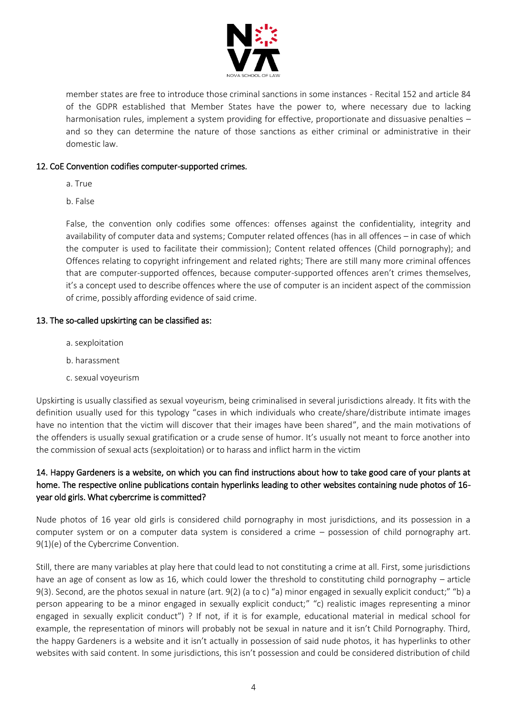

member states are free to introduce those criminal sanctions in some instances - Recital 152 and article 84 of the GDPR established that Member States have the power to, where necessary due to lacking harmonisation rules, implement a system providing for effective, proportionate and dissuasive penalties and so they can determine the nature of those sanctions as either criminal or administrative in their domestic law.

#### 12. CoE Convention codifies computer-supported crimes.

- a. True
- b. False

False, the convention only codifies some offences: offenses against the confidentiality, integrity and availability of computer data and systems; Computer related offences (has in all offences – in case of which the computer is used to facilitate their commission); Content related offences (Child pornography); and Offences relating to copyright infringement and related rights; There are still many more criminal offences that are computer-supported offences, because computer-supported offences aren't crimes themselves, it's a concept used to describe offences where the use of computer is an incident aspect of the commission of crime, possibly affording evidence of said crime.

#### 13. The so-called upskirting can be classified as:

- a. sexploitation
- b. harassment
- c. sexual voyeurism

Upskirting is usually classified as sexual voyeurism, being criminalised in several jurisdictions already. It fits with the definition usually used for this typology "cases in which individuals who create/share/distribute intimate images have no intention that the victim will discover that their images have been shared", and the main motivations of the offenders is usually sexual gratification or a crude sense of humor. It's usually not meant to force another into the commission of sexual acts (sexploitation) or to harass and inflict harm in the victim

# 14. Happy Gardeners is a website, on which you can find instructions about how to take good care of your plants at home. The respective online publications contain hyperlinks leading to other websites containing nude photos of 16 year old girls. What cybercrime is committed?

Nude photos of 16 year old girls is considered child pornography in most jurisdictions, and its possession in a computer system or on a computer data system is considered a crime – possession of child pornography art. 9(1)(e) of the Cybercrime Convention.

Still, there are many variables at play here that could lead to not constituting a crime at all. First, some jurisdictions have an age of consent as low as 16, which could lower the threshold to constituting child pornography – article 9(3). Second, are the photos sexual in nature (art. 9(2) (a to c) "a) minor engaged in sexually explicit conduct;" "b) a person appearing to be a minor engaged in sexually explicit conduct;" "c) realistic images representing a minor engaged in sexually explicit conduct") ? If not, if it is for example, educational material in medical school for example, the representation of minors will probably not be sexual in nature and it isn't Child Pornography. Third, the happy Gardeners is a website and it isn't actually in possession of said nude photos, it has hyperlinks to other websites with said content. In some jurisdictions, this isn't possession and could be considered distribution of child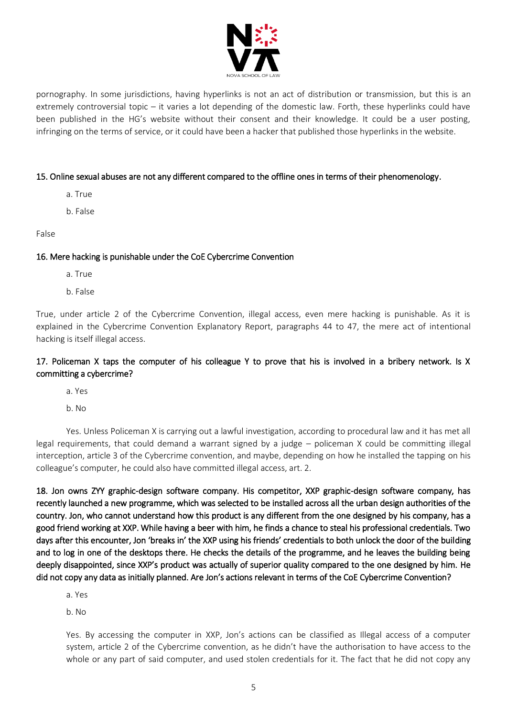

pornography. In some jurisdictions, having hyperlinks is not an act of distribution or transmission, but this is an extremely controversial topic – it varies a lot depending of the domestic law. Forth, these hyperlinks could have been published in the HG's website without their consent and their knowledge. It could be a user posting, infringing on the terms of service, or it could have been a hacker that published those hyperlinks in the website.

#### 15. Online sexual abuses are not any different compared to the offline ones in terms of their phenomenology.

- a. True
- b. False

#### False

#### 16. Mere hacking is punishable under the CoE Cybercrime Convention

- a. True
- b. False

True, under article 2 of the Cybercrime Convention, illegal access, even mere hacking is punishable. As it is explained in the Cybercrime Convention Explanatory Report, paragraphs 44 to 47, the mere act of intentional hacking is itself illegal access.

### 17. Policeman X taps the computer of his colleague Y to prove that his is involved in a bribery network. Is X committing a cybercrime?

a. Yes

b. No

Yes. Unless Policeman X is carrying out a lawful investigation, according to procedural law and it has met all legal requirements, that could demand a warrant signed by a judge – policeman X could be committing illegal interception, article 3 of the Cybercrime convention, and maybe, depending on how he installed the tapping on his colleague's computer, he could also have committed illegal access, art. 2.

18. Jon owns ZYY graphic-design software company. His competitor, XXP graphic-design software company, has recently launched a new programme, which was selected to be installed across all the urban design authorities of the country. Jon, who cannot understand how this product is any different from the one designed by his company, has a good friend working at XXP. While having a beer with him, he finds a chance to steal his professional credentials. Two days after this encounter, Jon 'breaks in' the XXP using his friends' credentials to both unlock the door of the building and to log in one of the desktops there. He checks the details of the programme, and he leaves the building being deeply disappointed, since XXP's product was actually of superior quality compared to the one designed by him. He did not copy any data as initially planned. Are Jon's actions relevant in terms of the CoE Cybercrime Convention?

a. Yes

b. No

Yes. By accessing the computer in XXP, Jon's actions can be classified as Illegal access of a computer system, article 2 of the Cybercrime convention, as he didn't have the authorisation to have access to the whole or any part of said computer, and used stolen credentials for it. The fact that he did not copy any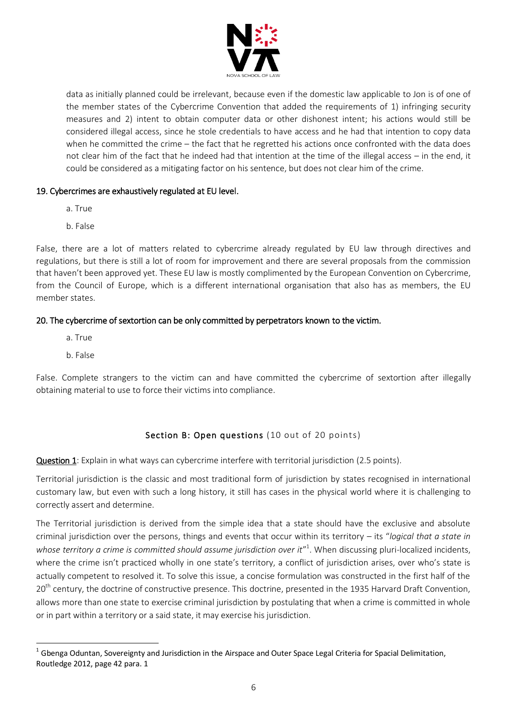

data as initially planned could be irrelevant, because even if the domestic law applicable to Jon is of one of the member states of the Cybercrime Convention that added the requirements of 1) infringing security measures and 2) intent to obtain computer data or other dishonest intent; his actions would still be considered illegal access, since he stole credentials to have access and he had that intention to copy data when he committed the crime – the fact that he regretted his actions once confronted with the data does not clear him of the fact that he indeed had that intention at the time of the illegal access – in the end, it could be considered as a mitigating factor on his sentence, but does not clear him of the crime.

### 19. Cybercrimes are exhaustively regulated at EU level.

- a. True
- b. False

False, there are a lot of matters related to cybercrime already regulated by EU law through directives and regulations, but there is still a lot of room for improvement and there are several proposals from the commission that haven't been approved yet. These EU law is mostly complimented by the European Convention on Cybercrime, from the Council of Europe, which is a different international organisation that also has as members, the EU member states.

# 20. The cybercrime of sextortion can be only committed by perpetrators known to the victim.

- a. True
- b. False

 $\overline{a}$ 

False. Complete strangers to the victim can and have committed the cybercrime of sextortion after illegally obtaining material to use to force their victims into compliance.

# Section B: Open questions (10 out of 20 points)

Question 1: Explain in what ways can cybercrime interfere with territorial jurisdiction (2.5 points).

Territorial jurisdiction is the classic and most traditional form of jurisdiction by states recognised in international customary law, but even with such a long history, it still has cases in the physical world where it is challenging to correctly assert and determine.

The Territorial jurisdiction is derived from the simple idea that a state should have the exclusive and absolute criminal jurisdiction over the persons, things and events that occur within its territory – its "*logical that a state in*  whose territory a crime is committed should assume jurisdiction over it<sup>"1</sup>. When discussing pluri-localized incidents, where the crime isn't practiced wholly in one state's territory, a conflict of jurisdiction arises, over who's state is actually competent to resolved it. To solve this issue, a concise formulation was constructed in the first half of the 20<sup>th</sup> century, the doctrine of constructive presence. This doctrine, presented in the 1935 Harvard Draft Convention, allows more than one state to exercise criminal jurisdiction by postulating that when a crime is committed in whole or in part within a territory or a said state, it may exercise his jurisdiction.

 $^1$  Gbenga Oduntan, Sovereignty and Jurisdiction in the Airspace and Outer Space Legal Criteria for Spacial Delimitation, Routledge 2012, page 42 para. 1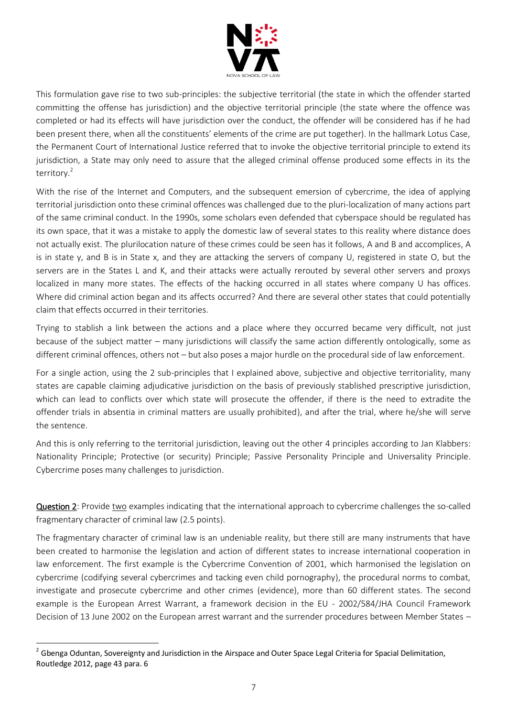

This formulation gave rise to two sub-principles: the subjective territorial (the state in which the offender started committing the offense has jurisdiction) and the objective territorial principle (the state where the offence was completed or had its effects will have jurisdiction over the conduct, the offender will be considered has if he had been present there, when all the constituents' elements of the crime are put together). In the hallmark Lotus Case, the Permanent Court of International Justice referred that to invoke the objective territorial principle to extend its jurisdiction, a State may only need to assure that the alleged criminal offense produced some effects in its the territory.<sup>2</sup>

With the rise of the Internet and Computers, and the subsequent emersion of cybercrime, the idea of applying territorial jurisdiction onto these criminal offences was challenged due to the pluri-localization of many actions part of the same criminal conduct. In the 1990s, some scholars even defended that cyberspace should be regulated has its own space, that it was a mistake to apply the domestic law of several states to this reality where distance does not actually exist. The plurilocation nature of these crimes could be seen has it follows, A and B and accomplices, A is in state y, and B is in State x, and they are attacking the servers of company U, registered in state O, but the servers are in the States L and K, and their attacks were actually rerouted by several other servers and proxys localized in many more states. The effects of the hacking occurred in all states where company U has offices. Where did criminal action began and its affects occurred? And there are several other states that could potentially claim that effects occurred in their territories.

Trying to stablish a link between the actions and a place where they occurred became very difficult, not just because of the subject matter – many jurisdictions will classify the same action differently ontologically, some as different criminal offences, others not – but also poses a major hurdle on the procedural side of law enforcement.

For a single action, using the 2 sub-principles that I explained above, subjective and objective territoriality, many states are capable claiming adjudicative jurisdiction on the basis of previously stablished prescriptive jurisdiction, which can lead to conflicts over which state will prosecute the offender, if there is the need to extradite the offender trials in absentia in criminal matters are usually prohibited), and after the trial, where he/she will serve the sentence.

And this is only referring to the territorial jurisdiction, leaving out the other 4 principles according to Jan Klabbers: Nationality Principle; Protective (or security) Principle; Passive Personality Principle and Universality Principle. Cybercrime poses many challenges to jurisdiction.

Question 2: Provide two examples indicating that the international approach to cybercrime challenges the so-called fragmentary character of criminal law (2.5 points).

The fragmentary character of criminal law is an undeniable reality, but there still are many instruments that have been created to harmonise the legislation and action of different states to increase international cooperation in law enforcement. The first example is the Cybercrime Convention of 2001, which harmonised the legislation on cybercrime (codifying several cybercrimes and tacking even child pornography), the procedural norms to combat, investigate and prosecute cybercrime and other crimes (evidence), more than 60 different states. The second example is the European Arrest Warrant, a framework decision in the EU - 2002/584/JHA Council Framework Decision of 13 June 2002 on the European arrest warrant and the surrender procedures between Member States –

 $\overline{a}$ 

 $^2$  Gbenga Oduntan, Sovereignty and Jurisdiction in the Airspace and Outer Space Legal Criteria for Spacial Delimitation, Routledge 2012, page 43 para. 6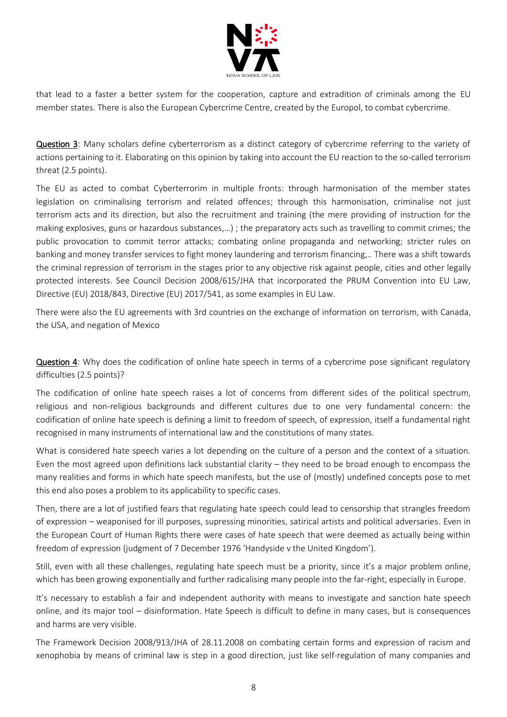

that lead to a faster a better system for the cooperation, capture and extradition of criminals among the EU member states. There is also the European Cybercrime Centre, created by the Europol, to combat cybercrime.

Question 3: Many scholars define cyberterrorism as a distinct category of cybercrime referring to the variety of actions pertaining to it. Elaborating on this opinion by taking into account the EU reaction to the so-called terrorism threat (2.5 points).

The EU as acted to combat Cyberterrorim in multiple fronts: through harmonisation of the member states legislation on criminalising terrorism and related offences; through this harmonisation, criminalise not just terrorism acts and its direction, but also the recruitment and training (the mere providing of instruction for the making explosives, guns or hazardous substances,…) ; the preparatory acts such as travelling to commit crimes; the public provocation to commit terror attacks; combating online propaganda and networking; stricter rules on banking and money transfer services to fight money laundering and terrorism financing,.. There was a shift towards the criminal repression of terrorism in the stages prior to any objective risk against people, cities and other legally protected interests. See Council Decision 2008/615/JHA that incorporated the PRUM Convention into EU Law, Directive (EU) 2018/843, Directive (EU) 2017/541, as some examples in EU Law.

There were also the EU agreements with 3rd countries on the exchange of information on terrorism, with Canada, the USA, and negation of Mexico

Question 4: Why does the codification of online hate speech in terms of a cybercrime pose significant regulatory difficulties (2.5 points)?

The codification of online hate speech raises a lot of concerns from different sides of the political spectrum, religious and non-religious backgrounds and different cultures due to one very fundamental concern: the codification of online hate speech is defining a limit to freedom of speech, of expression, itself a fundamental right recognised in many instruments of international law and the constitutions of many states.

What is considered hate speech varies a lot depending on the culture of a person and the context of a situation. Even the most agreed upon definitions lack substantial clarity – they need to be broad enough to encompass the many realities and forms in which hate speech manifests, but the use of (mostly) undefined concepts pose to met this end also poses a problem to its applicability to specific cases.

Then, there are a lot of justified fears that regulating hate speech could lead to censorship that strangles freedom of expression – weaponised for ill purposes, supressing minorities, satirical artists and political adversaries. Even in the European Court of Human Rights there were cases of hate speech that were deemed as actually being within freedom of expression (judgment of 7 December 1976 'Handyside v the United Kingdom').

Still, even with all these challenges, regulating hate speech must be a priority, since it's a major problem online, which has been growing exponentially and further radicalising many people into the far-right, especially in Europe.

It's necessary to establish a fair and independent authority with means to investigate and sanction hate speech online, and its major tool – disinformation. Hate Speech is difficult to define in many cases, but is consequences and harms are very visible.

The Framework Decision 2008/913/JHA of 28.11.2008 on combating certain forms and expression of racism and xenophobia by means of criminal law is step in a good direction, just like self-regulation of many companies and